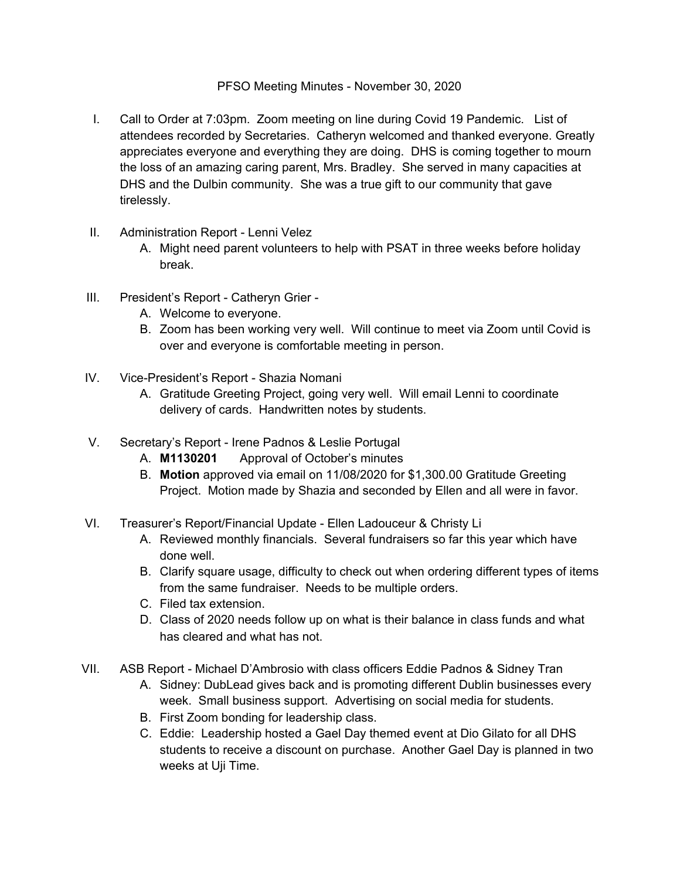## PFSO Meeting Minutes - November 30, 2020

- I. Call to Order at 7:03pm. Zoom meeting on line during Covid 19 Pandemic. List of attendees recorded by Secretaries. Catheryn welcomed and thanked everyone. Greatly appreciates everyone and everything they are doing. DHS is coming together to mourn the loss of an amazing caring parent, Mrs. Bradley. She served in many capacities at DHS and the Dulbin community. She was a true gift to our community that gave tirelessly.
- II. Administration Report Lenni Velez
	- A. Might need parent volunteers to help with PSAT in three weeks before holiday break.
- III. President's Report Catheryn Grier
	- A. Welcome to everyone.
	- B. Zoom has been working very well. Will continue to meet via Zoom until Covid is over and everyone is comfortable meeting in person.
- IV. Vice-President's Report Shazia Nomani
	- A. Gratitude Greeting Project, going very well. Will email Lenni to coordinate delivery of cards. Handwritten notes by students.
- V. Secretary's Report Irene Padnos & Leslie Portugal
	- A. **M1130201** Approval of October's minutes
	- B. **Motion** approved via email on 11/08/2020 for \$1,300.00 Gratitude Greeting Project. Motion made by Shazia and seconded by Ellen and all were in favor.
- VI. Treasurer's Report/Financial Update Ellen Ladouceur & Christy Li
	- A. Reviewed monthly financials. Several fundraisers so far this year which have done well.
	- B. Clarify square usage, difficulty to check out when ordering different types of items from the same fundraiser. Needs to be multiple orders.
	- C. Filed tax extension.
	- D. Class of 2020 needs follow up on what is their balance in class funds and what has cleared and what has not.
- VII. ASB Report Michael D'Ambrosio with class officers Eddie Padnos & Sidney Tran
	- A. Sidney: DubLead gives back and is promoting different Dublin businesses every week. Small business support. Advertising on social media for students.
	- B. First Zoom bonding for leadership class.
	- C. Eddie: Leadership hosted a Gael Day themed event at Dio Gilato for all DHS students to receive a discount on purchase. Another Gael Day is planned in two weeks at Uji Time.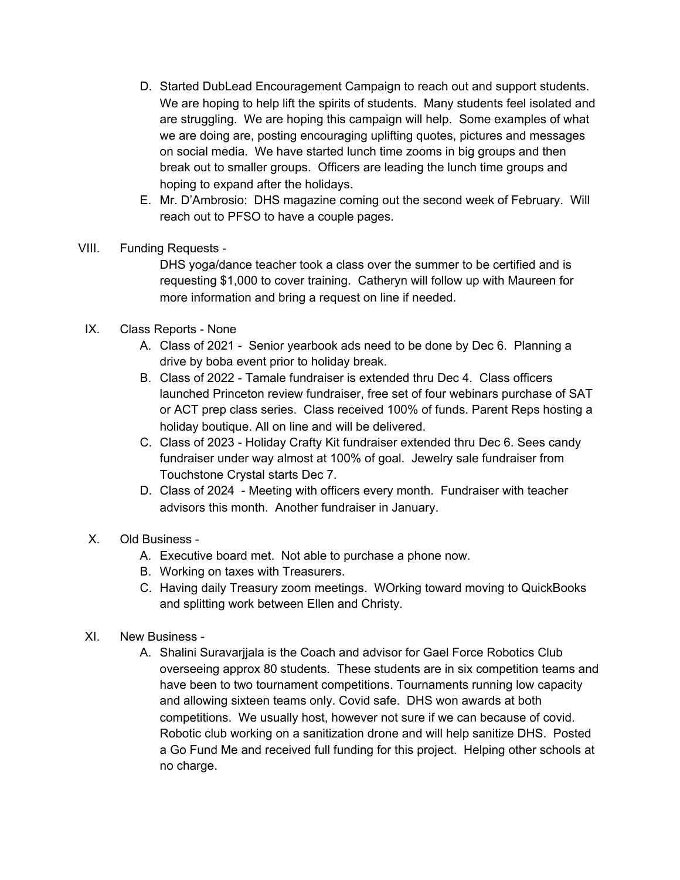- D. Started DubLead Encouragement Campaign to reach out and support students. We are hoping to help lift the spirits of students. Many students feel isolated and are struggling. We are hoping this campaign will help. Some examples of what we are doing are, posting encouraging uplifting quotes, pictures and messages on social media. We have started lunch time zooms in big groups and then break out to smaller groups. Officers are leading the lunch time groups and hoping to expand after the holidays.
- E. Mr. D'Ambrosio: DHS magazine coming out the second week of February. Will reach out to PFSO to have a couple pages.
- VIII. Funding Requests -

DHS yoga/dance teacher took a class over the summer to be certified and is requesting \$1,000 to cover training. Catheryn will follow up with Maureen for more information and bring a request on line if needed.

- IX. Class Reports None
	- A. Class of 2021 Senior yearbook ads need to be done by Dec 6. Planning a drive by boba event prior to holiday break.
	- B. Class of 2022 Tamale fundraiser is extended thru Dec 4. Class officers launched Princeton review fundraiser, free set of four webinars purchase of SAT or ACT prep class series. Class received 100% of funds. Parent Reps hosting a holiday boutique. All on line and will be delivered.
	- C. Class of 2023 Holiday Crafty Kit fundraiser extended thru Dec 6. Sees candy fundraiser under way almost at 100% of goal. Jewelry sale fundraiser from Touchstone Crystal starts Dec 7.
	- D. Class of 2024 Meeting with officers every month. Fundraiser with teacher advisors this month. Another fundraiser in January.
- X. Old Business
	- A. Executive board met. Not able to purchase a phone now.
	- B. Working on taxes with Treasurers.
	- C. Having daily Treasury zoom meetings. WOrking toward moving to QuickBooks and splitting work between Ellen and Christy.
- XI. New Business
	- A. Shalini Suravarjjala is the Coach and advisor for Gael Force Robotics Club overseeing approx 80 students. These students are in six competition teams and have been to two tournament competitions. Tournaments running low capacity and allowing sixteen teams only. Covid safe. DHS won awards at both competitions. We usually host, however not sure if we can because of covid. Robotic club working on a sanitization drone and will help sanitize DHS. Posted a Go Fund Me and received full funding for this project. Helping other schools at no charge.